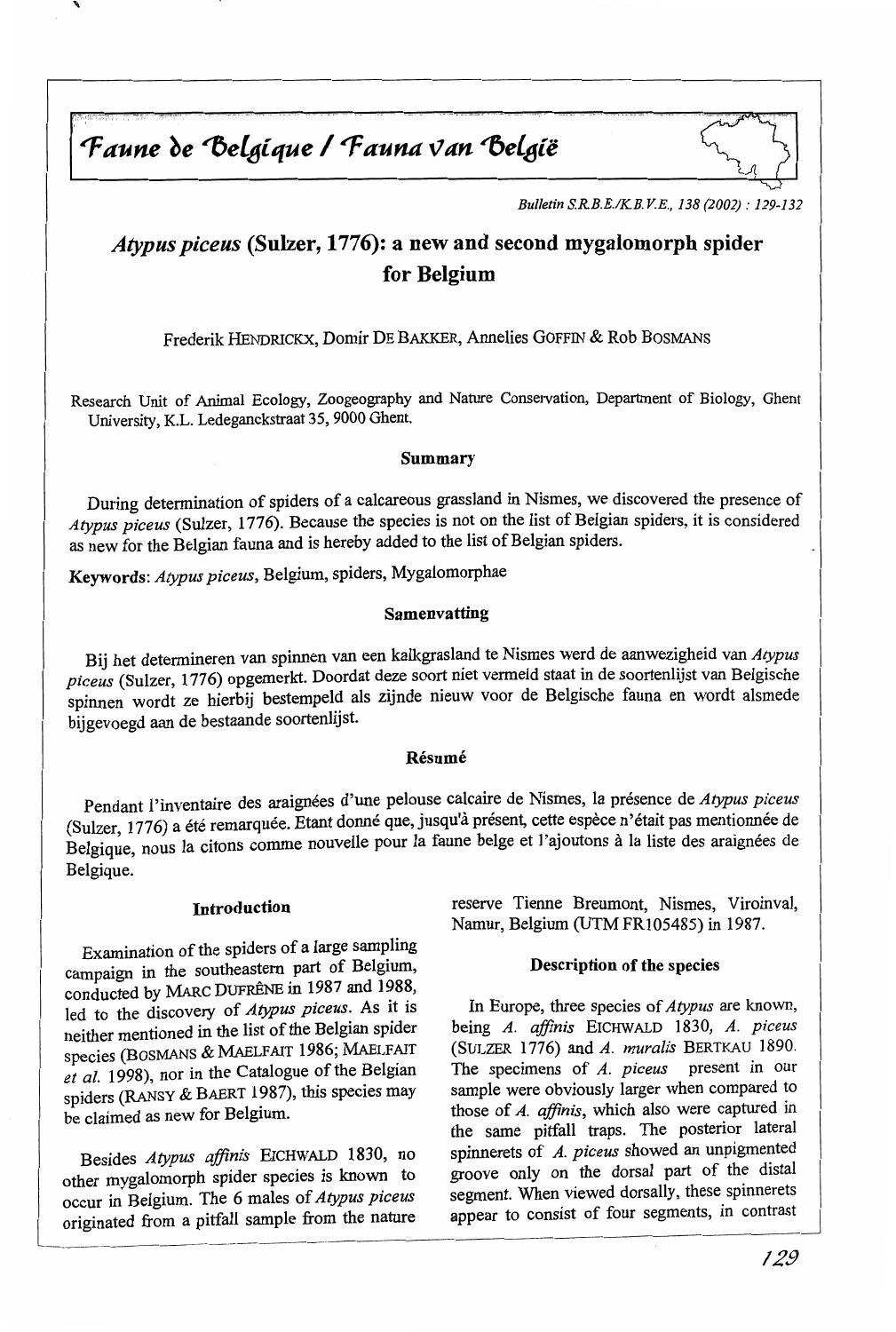Faune de Belgique / Fauna van België



*Bulletin S.R.B.E.IKB. V.E., 138 (2002) : 129-132* 

# *Atypus piceus (Sulzer, 1776): a new and second mygalomorph spider* for Belgium

Frederik HENDRICKX, Domir DE BAKKER, Annelies GOFFIN & Rob BOSMANS

Research Unit of Animal Ecology, Zoogeography and Nature Conservation, Department of Biology, Ghent University, K.L. Ledeganckstraat 35, 9000 Ghent.

### Summary

During determination of spiders of a calcareous grassland in Nismes, we discovered the presence of *Atypus piceus* (Sulzer, 1776). Because the species is not on the list of Belgian spiders, it is considered as new for the Belgian fauna and is hereby added to the list of Belgian spiders.

Keywords: *Atypus piceus,* Belgium, spiders, Mygalomorphae

# Samenvatting

Bij het determineren van spinnen van een kalkgrasland te Nismes werd de aanwezigheid van *Atypus piceus* (Sulzer, 1776) opgemerkt. Doordat deze soort niet vermeld staat in de soortenlijst van Belgische spinnen wordt ze hierbij bestempeld ais zijnde nieuw voor de Belgische fauna en wordt alsmede bijgevoegd aan de bestaande soortenlijst.

### Résumé

Pendant l'inventaire des araignées d'une pelouse calcaire de Nismes, la présence de *Atypus piceus*  (Sulzer, 1776) a été remarquée. Etant donné que, jusqu'à présent, cette espèce n'était pas mentionnée de Belgique, nous la citons comme nouvelle pour la faune belge et l'ajoutons à la liste des araignées de Belgique.

### Introduction

Examination of the spiders of a large sampling campaign in the southeastem part of Belgium, conducted by MARC DUFRÊNE in 1987 and 1988, led to the discovery of *Atypus piceus.* As it is neither mentioned in the list of the Belgian spider species (BOSMANS & MAELFAIT 1986; MAELFAIT *et al.* 1998), nor in the Catalogue of the Belgian spiders (RANSY & BAERT 1987), this species may be claimed as new for Belgium.

Besides *Atypus affinis* EICHWALD 1830, no other mygalomorph spider species is known to occur in Belgium. The 6 males of *Atypus piceus*  originated from a pitfall sample from the nature reserve Tienne Breumont, Nismes, Viroinval, Namur, Belgium (UTM FR105485) in 1987.

### Description of the species

In Europe, three species of *Atypus* are known, being *A. affinis* EICHWALD 1830, *A. piceus*  (SULZER 1776) and *A. muralis* BERTKAU 1890. The specimens of *A. piceus* present in our sample were obviously larger when compared to those of *A. affinis,* which also were captured in the same pitfall traps. The posterior lateral spinnerets of *A. piceus* showed an unpigmented groove only on the dorsal part of the distal segment. When viewed dorsally, these spinnerets appear to consist of four segments, in contrast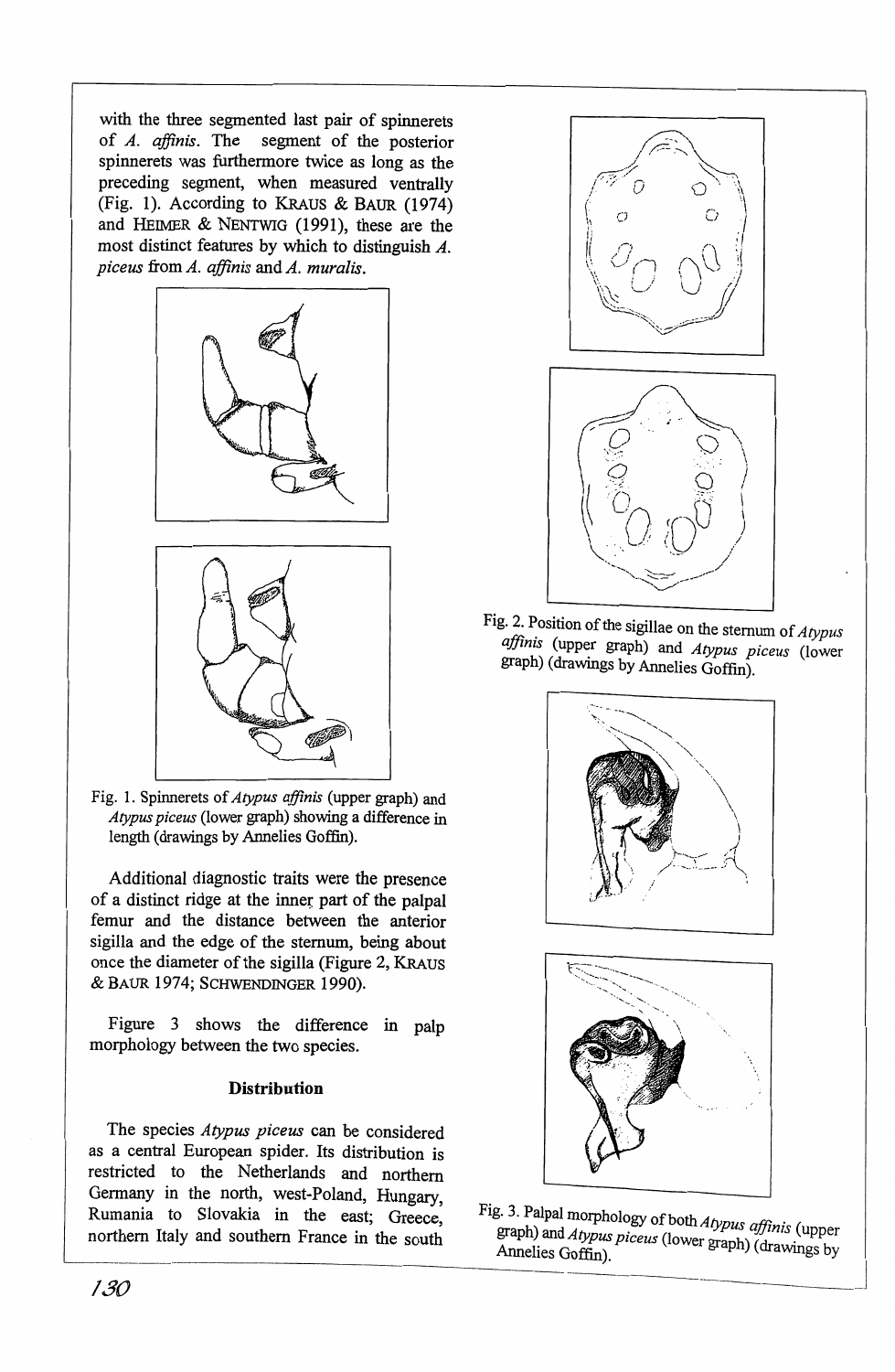with the three segmented last pair of spinnerets of *A. affinis.* The segment of the posterior spinnerets was furthermore twice as long as the preceding segment, when measured ventrally (Fig. 1). According to KRAus & BAUR (1974) and HEIMER & NENTWIG (1991), these are the most distinct features by which to distinguish A. *piceus from A. affinis and A. muralis.* 





Fig. 1. Spinnerets of *Atypus afjinis* (upper graph) and *Atypus piceus* (lower graph) showing a difference in length (drawings by Annelies Goffin).

Additional diagnostic traits were the presence of a distinct ridge at the inner part of the palpal femur and the distance between the anterior sigilla and the edge of the sternum, being about once the diameter of the sigilla (Figure 2, KRAUS & BAUR 1974; SCHWENDINGER 1990).

Figure 3 shows the difference in palp morphology between the two species.

# **Distribution**

The species *Atypus piceus* can be considered as a central European spider. Its distribution is restricted to the Netherlands and northem Germany in the north, west-Poland, Hungary, Rumania to Slovakia in the east; Greece, northern Italy and southem France in the south



Fig. 2. Position of the sigillae on the sternum of *Atypus*  affinis (upper graph) and *Atypus piceus* (lower graph) (drawings by Annelies Goffin).





Fig. 3. Palpal morphology of both *Atypus affinis* (upper graph) and *Atypus piceus* (lower graph) (drawings by Annelies Goffin). Annehes Goffin). awmgs <sup>y</sup>~~~~~~~~~~~~~~~ 130 ------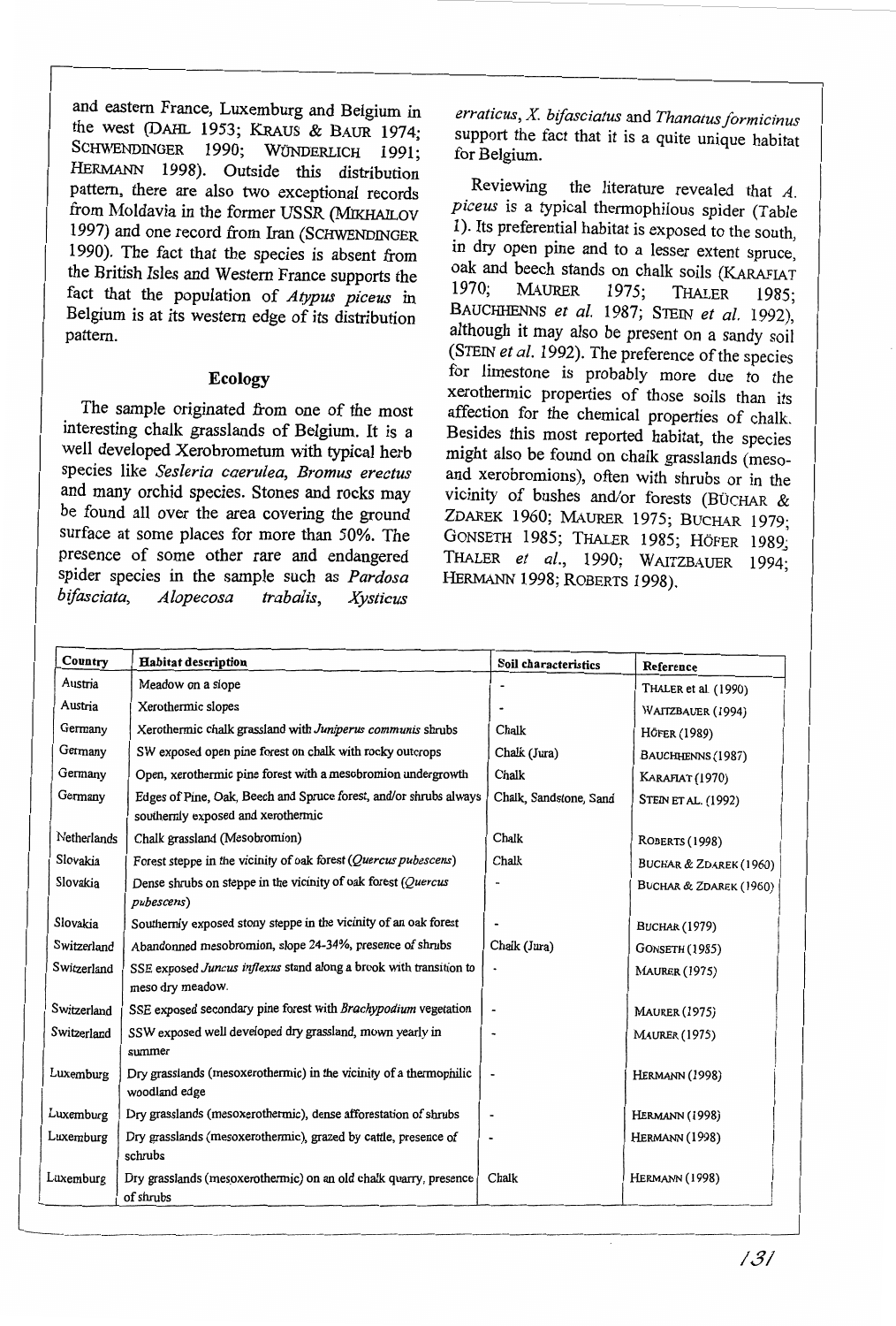and eastern France, Luxemburg and Belgium in the west (DAHL 1953; KRAUS & BAUR 1974; SCHWENDINGER 1990; WÜNDERLICH 1991; HERMANN 1998). Outside this distribution pattern, there are also two exceptional records from Moldavia in the former USSR (MIKHAILOV 1997) and one record from Iran (SCHWENDINGER 1990). The fact that the species is absent from the British Isles and Western France supports the fact that the population of *Atypus piceus* in Belgium is at its western edge of its distribution pattern.

### **Ecology**

The sample originated from one of the most interesting chalk grasslands of Belgium. It is a well developed Xerobrometum with typical herb species like *Sesleria caerulea, Bromus erectus*  and many orchid species. Stones and rocks may be found all over the area covering the ground surface at some places for more than 50%. The presence of some other rare and endangered spider species in the sample such as *Pardosa bifasciata, Alopecosa trabalis, Xysticus* 

*erraticus, X bifasciatus* and *Thanatus formicinus*  support the fact that it is a quite unique habitat for Belgium.

Reviewing the literature revealed that  $A$ . *piceus* is a typical thermophilous spider (Table 1). Its preferential habitat is exposed to the south, in dry open pine and to a lesser extent spruce, oak and beech stands on chalk soils (KARAFIAT 1970; MAURER 1975; THATER 1985. 1970; MAURER 1975; THALER 1985· ' BAUCHHENNS *et al.* 1987; STEIN *et al.* 1992), although it may also be present on a sandy soi! (STEIN *et al.* 1992). The preference of the species for limestone is probably more due to the xerothermic properties of those soils than its affection for the chemical properties of chalk. Besides this most reported habitat, the species might also be found on chalk grasslands (mesoand xerobromions), often with shrubs or in the vicinity of bushes and/or forests (BüCHAR & ZDAREK 1960; MAURER 1975; BUCHAR 1979; GONSETH 1985; THALER 1985; HôFER 1989; THALER *et al.,* 1990; WAITZBAUER 1994; HERMANN 1998; ROBERTS 1998).

| Country     | <b>Habitat description</b>                                                                              | Soil characteristics     | Reference              |
|-------------|---------------------------------------------------------------------------------------------------------|--------------------------|------------------------|
| Austria     | Meadow on a slope                                                                                       |                          | THALER et al. (1990)   |
| Austria     | Xerothermic slopes                                                                                      |                          | WAITZBAUER (1994)      |
| Germany     | Xerothermic chalk grassland with Juniperus communis shrubs                                              | Chalk                    | Höfer (1989)           |
| Germany     | SW exposed open pine forest on chalk with rocky outcrops                                                | Chalk (Jura)             | BAUCHHENNS (1987)      |
| Germany     | Open, xerothermic pine forest with a mesobromion undergrowth                                            | Chalk                    | KARAFIAT (1970)        |
| Germany     | Edges of Pine, Oak, Beech and Spruce forest, and/or shrubs always<br>southernly exposed and xerothermic | Chalk, Sandstone, Sand   | STEIN ET AL. (1992)    |
| Netherlands | Chalk grassland (Mesobromion)                                                                           | Chalk                    | <b>ROBERTS (1998)</b>  |
| Slovakia    | Forest steppe in the vicinity of oak forest (Quercus pubescens)                                         | Chalk                    | BUCHAR & ZDAREK (1960) |
| Slovakia    | Dense shrubs on steppe in the vicinity of oak forest (Quercus<br>pubescens)                             |                          | BUCHAR & ZDAREK (1960) |
| Slovakia    | Southernly exposed stony steppe in the vicinity of an oak forest                                        |                          | <b>BUCHAR (1979)</b>   |
| Switzerland | Abandonned mesobromion, slope 24-34%, presence of shrubs                                                | Chalk (Jura)             | <b>GONSETH (1985)</b>  |
| Switzerland | SSE exposed Juncus inflexus stand along a brook with transition to<br>meso dry meadow.                  | $\overline{\phantom{a}}$ | <b>MAURER (1975)</b>   |
| Switzerland | SSE exposed secondary pine forest with Brachypodium vegetation                                          |                          | <b>MAURER (1975)</b>   |
| Switzerland | SSW exposed well developed dry grassland, mown yearly in<br>summer                                      |                          | <b>MAURER (1975)</b>   |
| Luxemburg   | Dry grasslands (mesoxerothermic) in the vicinity of a thermophilic<br>woodland edge                     |                          | HERMANN (1998)         |
| Luxemburg   | Dry grasslands (mesoxerothermic), dense afforestation of shrubs                                         |                          | HERMANN (1998)         |
| Luxemburg   | Dry grasslands (mesoxerothermic), grazed by cattle, presence of<br>schrubs                              |                          | HERMANN (1998)         |
| Luxemburg   | Dry grasslands (mesoxerothermic) on an old chalk quarry, presence<br>of shrubs                          | Chalk                    | HERMANN (1998)         |